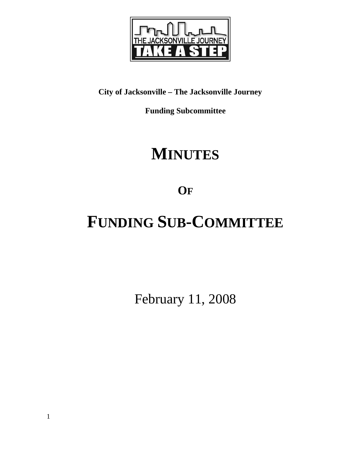

# **City of Jacksonville – The Jacksonville Journey**

**Funding Subcommittee** 

# **MINUTES**

**OF**

# **FUNDING SUB-COMMITTEE**

February 11, 2008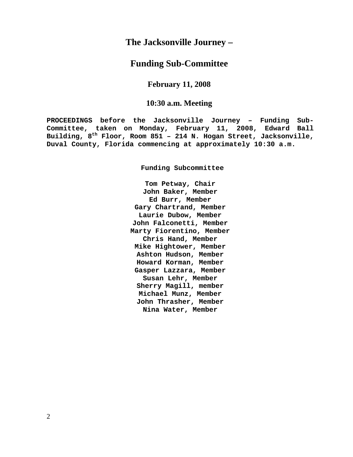# **The Jacksonville Journey –**

## **Funding Sub-Committee**

## **February 11, 2008**

## **10:30 a.m. Meeting**

**PROCEEDINGS before the Jacksonville Journey – Funding Sub-Committee, taken on Monday, February 11, 2008, Edward Ball Building, 8th Floor, Room 851 – 214 N. Hogan Street, Jacksonville, Duval County, Florida commencing at approximately 10:30 a.m.** 

**Funding Subcommittee** 

**Tom Petway, Chair John Baker, Member Ed Burr, Member Gary Chartrand, Member Laurie Dubow, Member John Falconetti, Member Marty Fiorentino, Member Chris Hand, Member Mike Hightower, Member Ashton Hudson, Member Howard Korman, Member Gasper Lazzara, Member Susan Lehr, Member Sherry Magill, member Michael Munz, Member John Thrasher, Member Nina Water, Member**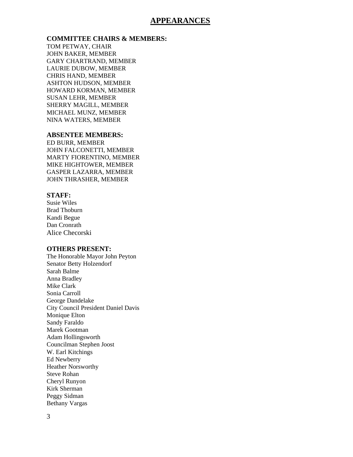## **APPEARANCES**

## **COMMITTEE CHAIRS & MEMBERS:**

TOM PETWAY, CHAIR JOHN BAKER, MEMBER GARY CHARTRAND, MEMBER LAURIE DUBOW, MEMBER CHRIS HAND, MEMBER ASHTON HUDSON, MEMBER HOWARD KORMAN, MEMBER SUSAN LEHR, MEMBER SHERRY MAGILL, MEMBER MICHAEL MUNZ, MEMBER NINA WATERS, MEMBER

### **ABSENTEE MEMBERS:**

ED BURR, MEMBER JOHN FALCONETTI, MEMBER MARTY FIORENTINO, MEMBER MIKE HIGHTOWER, MEMBER GASPER LAZARRA, MEMBER JOHN THRASHER, MEMBER

### **STAFF:**

Susie Wiles Brad Thoburn Kandi Begue Dan Cronrath Alice Checorski

#### **OTHERS PRESENT:**

The Honorable Mayor John Peyton Senator Betty Holzendorf Sarah Balme Anna Bradley Mike Clark Sonia Carroll George Dandelake City Council President Daniel Davis Monique Elton Sandy Faraldo Marek Gootman Adam Hollingsworth Councilman Stephen Joost W. Earl Kitchings Ed Newberry Heather Norsworthy Steve Rohan Cheryl Runyon Kirk Sherman Peggy Sidman Bethany Vargas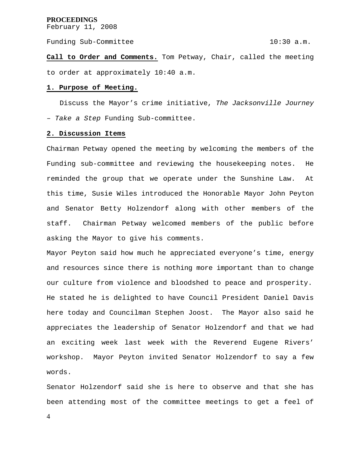February 11, 2008

Funding Sub-Committee 10:30 a.m.

**Call to Order and Comments.** Tom Petway, Chair, called the meeting to order at approximately 10:40 a.m.

#### **1. Purpose of Meeting.**

 Discuss the Mayor's crime initiative, *The Jacksonville Journey – Take a Step* Funding Sub-committee.

#### **2. Discussion Items**

Chairman Petway opened the meeting by welcoming the members of the Funding sub-committee and reviewing the housekeeping notes. He reminded the group that we operate under the Sunshine Law. At this time, Susie Wiles introduced the Honorable Mayor John Peyton and Senator Betty Holzendorf along with other members of the staff. Chairman Petway welcomed members of the public before asking the Mayor to give his comments.

Mayor Peyton said how much he appreciated everyone's time, energy and resources since there is nothing more important than to change our culture from violence and bloodshed to peace and prosperity. He stated he is delighted to have Council President Daniel Davis here today and Councilman Stephen Joost. The Mayor also said he appreciates the leadership of Senator Holzendorf and that we had an exciting week last week with the Reverend Eugene Rivers' workshop. Mayor Peyton invited Senator Holzendorf to say a few words.

Senator Holzendorf said she is here to observe and that she has been attending most of the committee meetings to get a feel of

4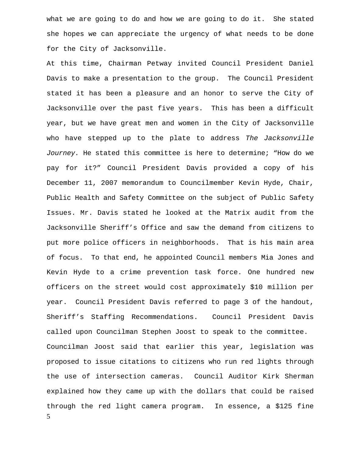what we are going to do and how we are going to do it. She stated she hopes we can appreciate the urgency of what needs to be done for the City of Jacksonville.

5 At this time, Chairman Petway invited Council President Daniel Davis to make a presentation to the group. The Council President stated it has been a pleasure and an honor to serve the City of Jacksonville over the past five years. This has been a difficult year, but we have great men and women in the City of Jacksonville who have stepped up to the plate to address *The Jacksonville Journey.* He stated this committee is here to determine; "How do we pay for it?" Council President Davis provided a copy of his December 11, 2007 memorandum to Councilmember Kevin Hyde, Chair, Public Health and Safety Committee on the subject of Public Safety Issues. Mr. Davis stated he looked at the Matrix audit from the Jacksonville Sheriff's Office and saw the demand from citizens to put more police officers in neighborhoods. That is his main area of focus. To that end, he appointed Council members Mia Jones and Kevin Hyde to a crime prevention task force. One hundred new officers on the street would cost approximately \$10 million per year. Council President Davis referred to page 3 of the handout, Sheriff's Staffing Recommendations. Council President Davis called upon Councilman Stephen Joost to speak to the committee. Councilman Joost said that earlier this year, legislation was proposed to issue citations to citizens who run red lights through the use of intersection cameras. Council Auditor Kirk Sherman explained how they came up with the dollars that could be raised through the red light camera program. In essence, a \$125 fine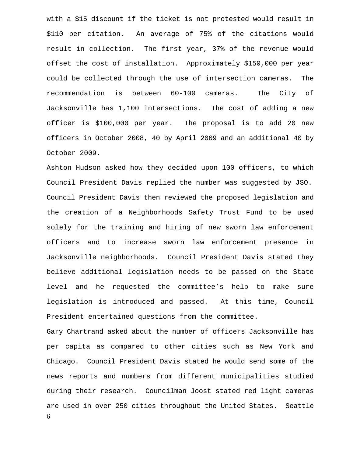with a \$15 discount if the ticket is not protested would result in \$110 per citation. An average of 75% of the citations would result in collection. The first year, 37% of the revenue would offset the cost of installation. Approximately \$150,000 per year could be collected through the use of intersection cameras. The recommendation is between 60-100 cameras. The City of Jacksonville has 1,100 intersections. The cost of adding a new officer is \$100,000 per year. The proposal is to add 20 new officers in October 2008, 40 by April 2009 and an additional 40 by October 2009.

Ashton Hudson asked how they decided upon 100 officers, to which Council President Davis replied the number was suggested by JSO. Council President Davis then reviewed the proposed legislation and the creation of a Neighborhoods Safety Trust Fund to be used solely for the training and hiring of new sworn law enforcement officers and to increase sworn law enforcement presence in Jacksonville neighborhoods. Council President Davis stated they believe additional legislation needs to be passed on the State level and he requested the committee's help to make sure legislation is introduced and passed. At this time, Council President entertained questions from the committee.

6 Gary Chartrand asked about the number of officers Jacksonville has per capita as compared to other cities such as New York and Chicago. Council President Davis stated he would send some of the news reports and numbers from different municipalities studied during their research. Councilman Joost stated red light cameras are used in over 250 cities throughout the United States. Seattle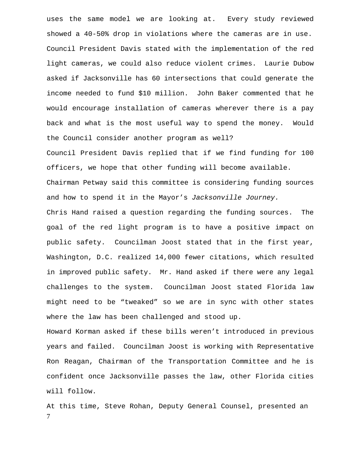uses the same model we are looking at. Every study reviewed showed a 40-50% drop in violations where the cameras are in use. Council President Davis stated with the implementation of the red light cameras, we could also reduce violent crimes. Laurie Dubow asked if Jacksonville has 60 intersections that could generate the income needed to fund \$10 million. John Baker commented that he would encourage installation of cameras wherever there is a pay back and what is the most useful way to spend the money. Would the Council consider another program as well?

Council President Davis replied that if we find funding for 100 officers, we hope that other funding will become available. Chairman Petway said this committee is considering funding sources and how to spend it in the Mayor's *Jacksonville Journey.* 

Chris Hand raised a question regarding the funding sources. The goal of the red light program is to have a positive impact on public safety. Councilman Joost stated that in the first year, Washington, D.C. realized 14,000 fewer citations, which resulted in improved public safety. Mr. Hand asked if there were any legal challenges to the system. Councilman Joost stated Florida law might need to be "tweaked" so we are in sync with other states where the law has been challenged and stood up.

Howard Korman asked if these bills weren't introduced in previous years and failed. Councilman Joost is working with Representative Ron Reagan, Chairman of the Transportation Committee and he is confident once Jacksonville passes the law, other Florida cities will follow.

7 At this time, Steve Rohan, Deputy General Counsel, presented an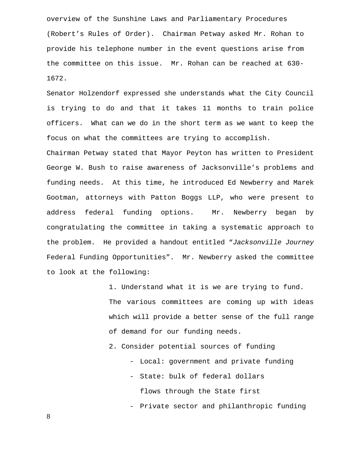overview of the Sunshine Laws and Parliamentary Procedures (Robert's Rules of Order). Chairman Petway asked Mr. Rohan to provide his telephone number in the event questions arise from the committee on this issue. Mr. Rohan can be reached at 630- 1672.

Senator Holzendorf expressed she understands what the City Council is trying to do and that it takes 11 months to train police officers. What can we do in the short term as we want to keep the focus on what the committees are trying to accomplish.

Chairman Petway stated that Mayor Peyton has written to President George W. Bush to raise awareness of Jacksonville's problems and funding needs. At this time, he introduced Ed Newberry and Marek Gootman, attorneys with Patton Boggs LLP, who were present to address federal funding options. Mr. Newberry began by congratulating the committee in taking a systematic approach to the problem. He provided a handout entitled "*Jacksonville Journey* Federal Funding Opportunities". Mr. Newberry asked the committee to look at the following:

> 1. Understand what it is we are trying to fund. The various committees are coming up with ideas which will provide a better sense of the full range of demand for our funding needs.

2. Consider potential sources of funding

- Local: government and private funding
- State: bulk of federal dollars flows through the State first

- Private sector and philanthropic funding

8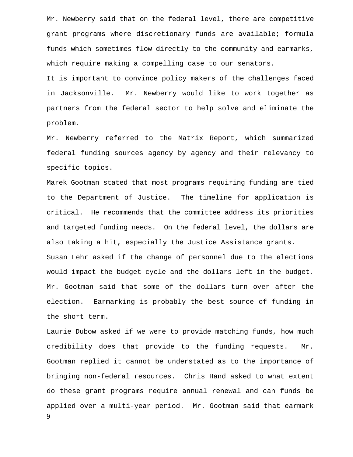Mr. Newberry said that on the federal level, there are competitive grant programs where discretionary funds are available; formula funds which sometimes flow directly to the community and earmarks, which require making a compelling case to our senators.

It is important to convince policy makers of the challenges faced in Jacksonville. Mr. Newberry would like to work together as partners from the federal sector to help solve and eliminate the problem.

Mr. Newberry referred to the Matrix Report, which summarized federal funding sources agency by agency and their relevancy to specific topics.

Marek Gootman stated that most programs requiring funding are tied to the Department of Justice. The timeline for application is critical. He recommends that the committee address its priorities and targeted funding needs. On the federal level, the dollars are also taking a hit, especially the Justice Assistance grants. Susan Lehr asked if the change of personnel due to the elections would impact the budget cycle and the dollars left in the budget. Mr. Gootman said that some of the dollars turn over after the election. Earmarking is probably the best source of funding in the short term.

9 Laurie Dubow asked if we were to provide matching funds, how much credibility does that provide to the funding requests. Mr. Gootman replied it cannot be understated as to the importance of bringing non-federal resources. Chris Hand asked to what extent do these grant programs require annual renewal and can funds be applied over a multi-year period. Mr. Gootman said that earmark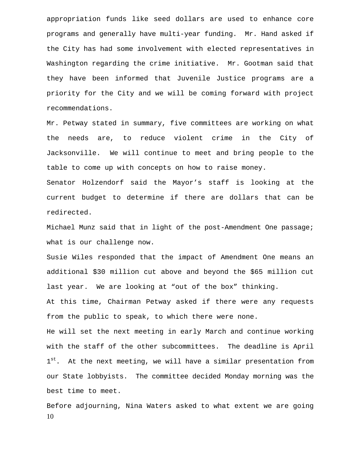appropriation funds like seed dollars are used to enhance core programs and generally have multi-year funding. Mr. Hand asked if the City has had some involvement with elected representatives in Washington regarding the crime initiative. Mr. Gootman said that they have been informed that Juvenile Justice programs are a priority for the City and we will be coming forward with project recommendations.

Mr. Petway stated in summary, five committees are working on what the needs are, to reduce violent crime in the City of Jacksonville. We will continue to meet and bring people to the table to come up with concepts on how to raise money.

Senator Holzendorf said the Mayor's staff is looking at the current budget to determine if there are dollars that can be redirected.

Michael Munz said that in light of the post-Amendment One passage; what is our challenge now.

Susie Wiles responded that the impact of Amendment One means an additional \$30 million cut above and beyond the \$65 million cut last year. We are looking at "out of the box" thinking.

At this time, Chairman Petway asked if there were any requests from the public to speak, to which there were none.

He will set the next meeting in early March and continue working with the staff of the other subcommittees. The deadline is April 1<sup>st</sup>. At the next meeting, we will have a similar presentation from our State lobbyists. The committee decided Monday morning was the best time to meet.

10 Before adjourning, Nina Waters asked to what extent we are going